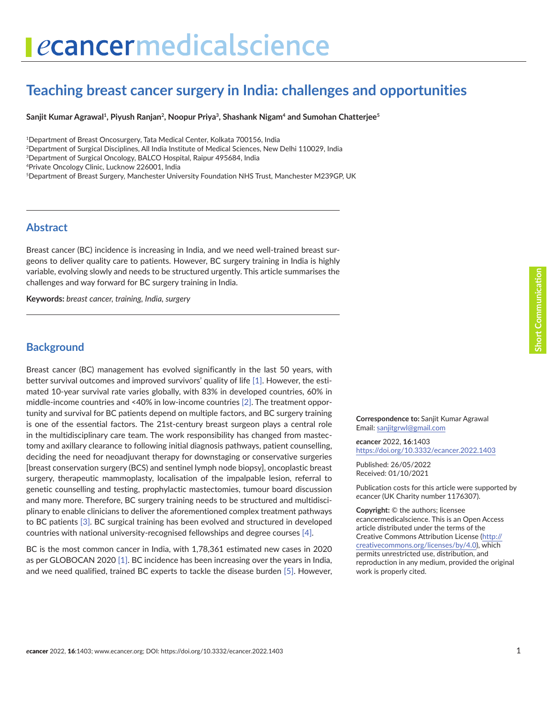# ecancermedicalscience

# **Teaching breast cancer surgery in India: challenges and opportunities**

Sanjit Kumar Agrawal<sup>1</sup>, Piyush Ranjan<sup>2</sup>, Noopur Priya<sup>3</sup>, Shashank Nigam<sup>4</sup> and Sumohan Chatterjee<sup>5</sup>

1Department of Breast Oncosurgery, Tata Medical Center, Kolkata 700156, India

2Department of Surgical Disciplines, All India Institute of Medical Sciences, New Delhi 110029, India

3Department of Surgical Oncology, BALCO Hospital, Raipur 495684, India

4Private Oncology Clinic, Lucknow 226001, India

5Department of Breast Surgery, Manchester University Foundation NHS Trust, Manchester M239GP, UK

#### **Abstract**

Breast cancer (BC) incidence is increasing in India, and we need well-trained breast surgeons to deliver quality care to patients. However, BC surgery training in India is highly variable, evolving slowly and needs to be structured urgently. This article summarises the challenges and way forward for BC surgery training in India.

**Keywords:** *breast cancer, training, India, surgery*

#### **Background**

Breast cancer (BC) management has evolved significantly in the last 50 years, with better survival outcomes and improved survivors' quality of life [\[1\]](#page-3-0). However, the estimated 10-year survival rate varies globally, with 83% in developed countries, 60% in middle-income countries and <40% in low-income countries [\[2\]](#page-3-0). The treatment opportunity and survival for BC patients depend on multiple factors, and BC surgery training is one of the essential factors. The 21st-century breast surgeon plays a central role in the multidisciplinary care team. The work responsibility has changed from mastectomy and axillary clearance to following initial diagnosis pathways, patient counselling, deciding the need for neoadjuvant therapy for downstaging or conservative surgeries [breast conservation surgery (BCS) and sentinel lymph node biopsy], oncoplastic breast surgery, therapeutic mammoplasty, localisation of the impalpable lesion, referral to genetic counselling and testing, prophylactic mastectomies, tumour board discussion and many more. Therefore, BC surgery training needs to be structured and multidisciplinary to enable clinicians to deliver the aforementioned complex treatment pathways to BC patients [\[3\]](#page-3-0). BC surgical training has been evolved and structured in developed countries with national university-recognised fellowships and degree courses [\[4\]](#page-3-0).

BC is the most common cancer in India, with 1,78,361 estimated new cases in 2020 as per GLOBOCAN 2020 [\[1\].](#page-3-0) BC incidence has been increasing over the years in India, and we need qualified, trained BC experts to tackle the disease burden [\[5\]](#page-3-0). However, **Correspondence to:** Sanjit Kumar Agrawal Email: [sanjitgrwl@gmail.com](mailto:sanjitgrwl@gmail.com)

*e***cancer** 2022, **16**:1403 <https://doi.org/10.3332/ecancer.2022.1403>

Published: 26/05/2022 Received: 01/10/2021

Publication costs for this article were supported by *e*cancer (UK Charity number 1176307).

**Copyright:** © the authors; licensee *e*cancermedicalscience. This is an Open Access article distributed under the terms of the Creative Commons Attribution License (http:// creativecommons.org/licenses/by/4.0), which permits unrestricted use, distribution, and reproduction in any medium, provided the original work is properly cited.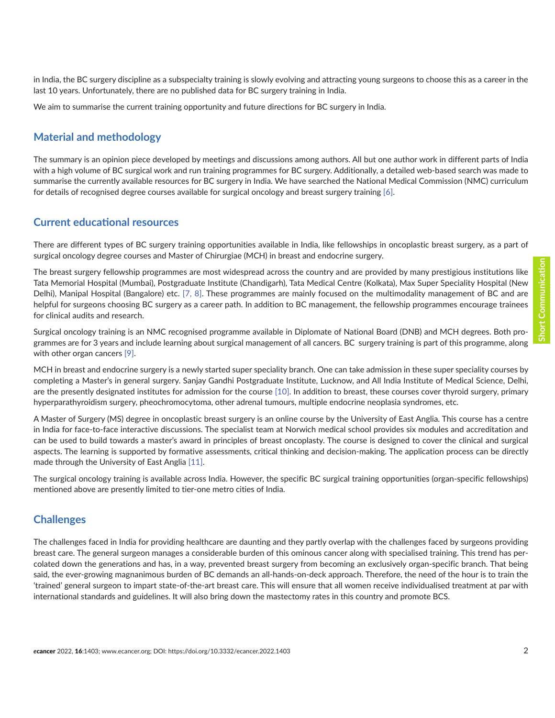in India, the BC surgery discipline as a subspecialty training is slowly evolving and attracting young surgeons to choose this as a career in the last 10 years. Unfortunately, there are no published data for BC surgery training in India.

We aim to summarise the current training opportunity and future directions for BC surgery in India.

#### **Material and methodology**

The summary is an opinion piece developed by meetings and discussions among authors. All but one author work in different parts of India with a high volume of BC surgical work and run training programmes for BC surgery. Additionally, a detailed web-based search was made to summarise the currently available resources for BC surgery in India. We have searched the National Medical Commission (NMC) curriculum for details of recognised degree courses available for surgical oncology and breast surgery training [\[6\].](#page-3-0)

#### **Current educational resources**

There are different types of BC surgery training opportunities available in India, like fellowships in oncoplastic breast surgery, as a part of surgical oncology degree courses and Master of Chirurgiae (MCH) in breast and endocrine surgery.

The breast surgery fellowship programmes are most widespread across the country and are provided by many prestigious institutions like Tata Memorial Hospital (Mumbai), Postgraduate Institute (Chandigarh), Tata Medical Centre (Kolkata), Max Super Speciality Hospital (New Delhi), Manipal Hospital (Bangalore) etc. [\[7,](#page-3-0) [8\].](#page-4-0) These programmes are mainly focused on the multimodality management of BC and are helpful for surgeons choosing BC surgery as a career path. In addition to BC management, the fellowship programmes encourage trainees for clinical audits and research.

Surgical oncology training is an NMC recognised programme available in Diplomate of National Board (DNB) and MCH degrees. Both programmes are for 3 years and include learning about surgical management of all cancers. BC surgery training is part of this programme, along with other organ cancers [\[9\].](#page-4-0)

MCH in breast and endocrine surgery is a newly started super speciality branch. One can take admission in these super speciality courses by completing a Master's in general surgery. Sanjay Gandhi Postgraduate Institute, Lucknow, and All India Institute of Medical Science, Delhi, are the presently designated institutes for admission for the course [\[10\]](#page-4-0). In addition to breast, these courses cover thyroid surgery, primary hyperparathyroidism surgery, pheochromocytoma, other adrenal tumours, multiple endocrine neoplasia syndromes, etc.

A Master of Surgery (MS) degree in oncoplastic breast surgery is an online course by the University of East Anglia. This course has a centre in India for face-to-face interactive discussions. The specialist team at Norwich medical school provides six modules and accreditation and can be used to build towards a master's award in principles of breast oncoplasty. The course is designed to cover the clinical and surgical aspects. The learning is supported by formative assessments, critical thinking and decision-making. The application process can be directly made through the University of East Anglia [\[11\].](#page-4-0)

The surgical oncology training is available across India. However, the specific BC surgical training opportunities (organ-specific fellowships) mentioned above are presently limited to tier-one metro cities of India.

#### **Challenges**

The challenges faced in India for providing healthcare are daunting and they partly overlap with the challenges faced by surgeons providing breast care. The general surgeon manages a considerable burden of this ominous cancer along with specialised training. This trend has percolated down the generations and has, in a way, prevented breast surgery from becoming an exclusively organ-specific branch. That being said, the ever-growing magnanimous burden of BC demands an all-hands-on-deck approach. Therefore, the need of the hour is to train the 'trained' general surgeon to impart state-of-the-art breast care. This will ensure that all women receive individualised treatment at par with international standards and guidelines. It will also bring down the mastectomy rates in this country and promote BCS.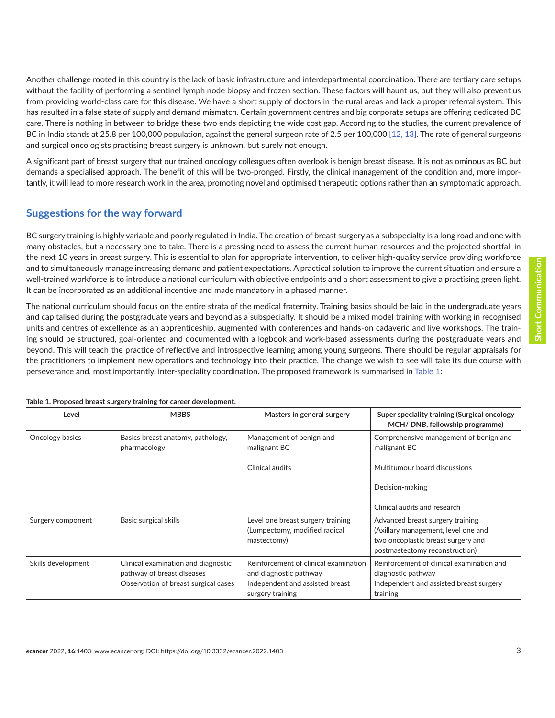Another challenge rooted in this country is the lack of basic infrastructure and interdepartmental coordination. There are tertiary care setups without the facility of performing a sentinel lymph node biopsy and frozen section. These factors will haunt us, but they will also prevent us from providing world-class care for this disease. We have a short supply of doctors in the rural areas and lack a proper referral system. This has resulted in a false state of supply and demand mismatch. Certain government centres and big corporate setups are offering dedicated BC care. There is nothing in between to bridge these two ends depicting the wide cost gap. According to the studies, the current prevalence of BC in India stands at 25.8 per 100,000 population, against the general surgeon rate of 2.5 per 100,000 [\[12, 13\].](#page-4-0) The rate of general surgeons and surgical oncologists practising breast surgery is unknown, but surely not enough.

A significant part of breast surgery that our trained oncology colleagues often overlook is benign breast disease. It is not as ominous as BC but demands a specialised approach. The benefit of this will be two-pronged. Firstly, the clinical management of the condition and, more importantly, it will lead to more research work in the area, promoting novel and optimised therapeutic options rather than an symptomatic approach.

#### **Suggestions for the way forward**

BC surgery training is highly variable and poorly regulated in India. The creation of breast surgery as a subspecialty is a long road and one with many obstacles, but a necessary one to take. There is a pressing need to assess the current human resources and the projected shortfall in the next 10 years in breast surgery. This is essential to plan for appropriate intervention, to deliver high-quality service providing workforce and to simultaneously manage increasing demand and patient expectations. A practical solution to improve the current situation and ensure a well-trained workforce is to introduce a national curriculum with objective endpoints and a short assessment to give a practising green light. It can be incorporated as an additional incentive and made mandatory in a phased manner.

The national curriculum should focus on the entire strata of the medical fraternity. Training basics should be laid in the undergraduate years and capitalised during the postgraduate years and beyond as a subspecialty. It should be a mixed model training with working in recognised units and centres of excellence as an apprenticeship, augmented with conferences and hands-on cadaveric and live workshops. The training should be structured, goal-oriented and documented with a logbook and work-based assessments during the postgraduate years and beyond. This will teach the practice of reflective and introspective learning among young surgeons. There should be regular appraisals for the practitioners to implement new operations and technology into their practice. The change we wish to see will take its due course with perseverance and, most importantly, inter-speciality coordination. The proposed framework is summarised in Table 1:

| Level              | <b>MBBS</b>                                                                                               | Masters in general surgery                                                                                             | Super speciality training (Surgical oncology<br>MCH/DNB, fellowship programme)                                                                  |
|--------------------|-----------------------------------------------------------------------------------------------------------|------------------------------------------------------------------------------------------------------------------------|-------------------------------------------------------------------------------------------------------------------------------------------------|
| Oncology basics    | Basics breast anatomy, pathology,<br>pharmacology                                                         | Management of benign and<br>malignant BC                                                                               | Comprehensive management of benign and<br>malignant BC                                                                                          |
|                    |                                                                                                           | Clinical audits                                                                                                        | Multitumour board discussions                                                                                                                   |
|                    |                                                                                                           |                                                                                                                        | Decision-making                                                                                                                                 |
|                    |                                                                                                           |                                                                                                                        | Clinical audits and research                                                                                                                    |
| Surgery component  | Basic surgical skills                                                                                     | Level one breast surgery training<br>(Lumpectomy, modified radical<br>mastectomy)                                      | Advanced breast surgery training<br>(Axillary management, level one and<br>two oncoplastic breast surgery and<br>postmastectomy reconstruction) |
| Skills development | Clinical examination and diagnostic<br>pathway of breast diseases<br>Observation of breast surgical cases | Reinforcement of clinical examination<br>and diagnostic pathway<br>Independent and assisted breast<br>surgery training | Reinforcement of clinical examination and<br>diagnostic pathway<br>Independent and assisted breast surgery<br>training                          |

**Table 1. Proposed breast surgery training for career development.**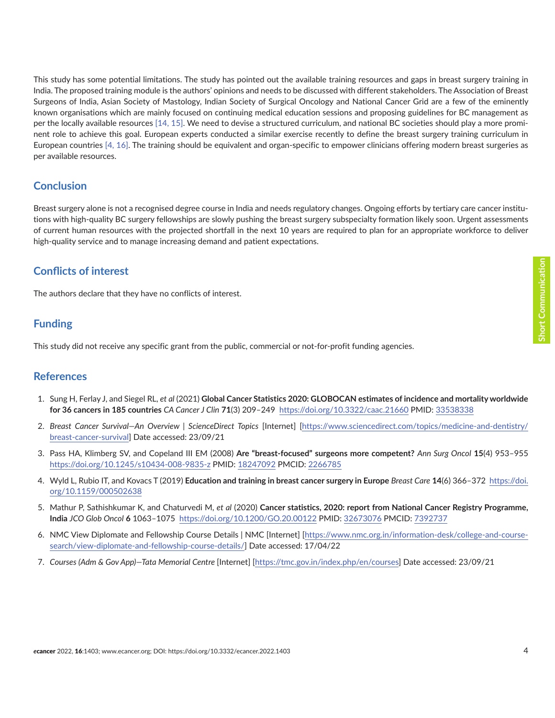<span id="page-3-0"></span>This study has some potential limitations. The study has pointed out the available training resources and gaps in breast surgery training in India. The proposed training module is the authors' opinions and needs to be discussed with different stakeholders. The Association of Breast Surgeons of India, Asian Society of Mastology, Indian Society of Surgical Oncology and National Cancer Grid are a few of the eminently known organisations which are mainly focused on continuing medical education sessions and proposing guidelines for BC management as per the locally available resources [\[14, 15\]](#page-4-0). We need to devise a structured curriculum, and national BC societies should play a more prominent role to achieve this goal. European experts conducted a similar exercise recently to define the breast surgery training curriculum in European countries [4, [16\].](#page-4-0) The training should be equivalent and organ-specific to empower clinicians offering modern breast surgeries as per available resources.

#### **Conclusion**

Breast surgery alone is not a recognised degree course in India and needs regulatory changes. Ongoing efforts by tertiary care cancer institutions with high-quality BC surgery fellowships are slowly pushing the breast surgery subspecialty formation likely soon. Urgent assessments of current human resources with the projected shortfall in the next 10 years are required to plan for an appropriate workforce to deliver high-quality service and to manage increasing demand and patient expectations.

## **Conflicts of interest**

The authors declare that they have no conflicts of interest.

## **Funding**

This study did not receive any specific grant from the public, commercial or not-for-profit funding agencies.

#### **References**

- 1. Sung H, Ferlay J, and Siegel RL, *et al* (2021) **Global Cancer Statistics 2020: GLOBOCAN estimates of incidence and mortality worldwide for 36 cancers in 185 countries** *CA Cancer J Clin* **71**(3) 209–249 <https://doi.org/10.3322/caac.21660>PMID: [33538338](http://www.ncbi.nlm.nih.gov/pubmed/33538338)
- 2. *Breast Cancer Survival—An Overview | ScienceDirect Topics* [Internet] [\[https://www.sciencedirect.com/topics/medicine-and-dentistry/](https://www.sciencedirect.com/topics/medicine-and-dentistry/breast-cancer-survival) [breast-cancer-survival](https://www.sciencedirect.com/topics/medicine-and-dentistry/breast-cancer-survival)] Date accessed: 23/09/21
- 3. Pass HA, Klimberg SV, and Copeland III EM (2008) **Are "breast-focused" surgeons more competent?** *Ann Surg Oncol* **15**(4) 953–955 <https://doi.org/10.1245/s10434-008-9835-z> PMID: [18247092](http://www.ncbi.nlm.nih.gov/pubmed/18247092) PMCID: [2266785](http://www.ncbi.nlm.nih.gov/pmc/articles/PMC2266785)
- 4. Wyld L, Rubio IT, and Kovacs T (2019) **Education and training in breast cancer surgery in Europe** *Breast Care* **14**(6) 366–372 [https://doi.](https://doi.org/10.1159/000502638) [org/10.1159/000502638](https://doi.org/10.1159/000502638)
- 5. Mathur P, Sathishkumar K, and Chaturvedi M, *et al* (2020) **Cancer statistics, 2020: report from National Cancer Registry Programme, India** *JCO Glob Oncol* **6** 1063–1075 <https://doi.org/10.1200/GO.20.00122>PMID: [32673076](http://www.ncbi.nlm.nih.gov/pubmed/32673076) PMCID: [7392737](http://www.ncbi.nlm.nih.gov/pmc/articles/PMC7392737)
- 6. NMC View Diplomate and Fellowship Course Details | NMC [Internet] [\[https://www.nmc.org.in/information-desk/college-and-course](https://www.nmc.org.in/information-desk/college-and-course-search/view-diplomate-and-fellowship-course-details/)[search/view-diplomate-and-fellowship-course-details/\]](https://www.nmc.org.in/information-desk/college-and-course-search/view-diplomate-and-fellowship-course-details/) Date accessed: 17/04/22
- 7. *Courses (Adm & Gov App)—Tata Memorial Centre* [Internet] [\[https://tmc.gov.in/index.php/en/courses\]](https://tmc.gov.in/index.php/en/courses) Date accessed: 23/09/21